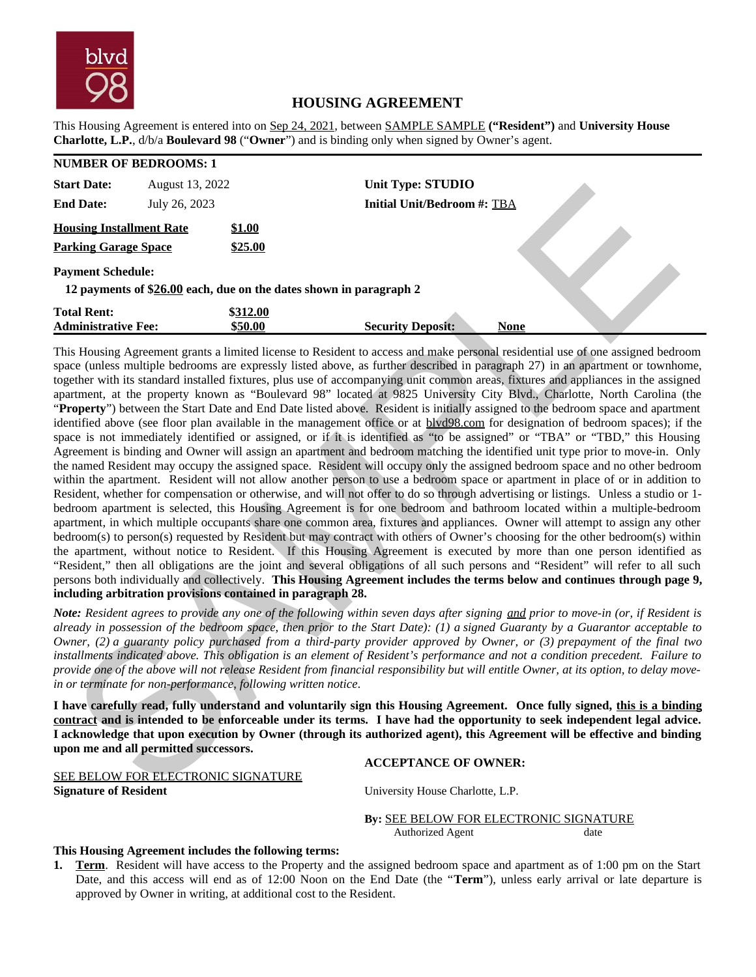

## **HOUSING AGREEMENT**

This Housing Agreement is entered into on Sep 24, 2021, between SAMPLE SAMPLE **("Resident")** and **University House Charlotte, L.P.**, d/b/a **Boulevard 98** ("**Owner**") and is binding only when signed by Owner's agent.

| <b>NUMBER OF BEDROOMS: 1</b>                                                                   |                 |                   |                                    |             |  |  |  |
|------------------------------------------------------------------------------------------------|-----------------|-------------------|------------------------------------|-------------|--|--|--|
| <b>Start Date:</b>                                                                             | August 13, 2022 |                   | <b>Unit Type: STUDIO</b>           |             |  |  |  |
| <b>End Date:</b>                                                                               | July 26, 2023   |                   | <b>Initial Unit/Bedroom #: TBA</b> |             |  |  |  |
| <b>Housing Installment Rate</b><br><b>Parking Garage Space</b>                                 |                 | \$1.00<br>\$25.00 |                                    |             |  |  |  |
| <b>Payment Schedule:</b><br>12 payments of \$26.00 each, due on the dates shown in paragraph 2 |                 |                   |                                    |             |  |  |  |
| <b>Total Rent:</b>                                                                             |                 | \$312.00          |                                    |             |  |  |  |
| <b>Administrative Fee:</b>                                                                     |                 | \$50.00           | <b>Security Deposit:</b>           | <b>None</b> |  |  |  |

This Housing Agreement grants a limited license to Resident to access and make personal residential use of one assigned bedroom space (unless multiple bedrooms are expressly listed above, as further described in paragraph 27) in an apartment or townhome, together with its standard installed fixtures, plus use of accompanying unit common areas, fixtures and appliances in the assigned apartment, at the property known as "Boulevard 98" located at 9825 University City Blvd., Charlotte, North Carolina (the "**Property**") between the Start Date and End Date listed above. Resident is initially assigned to the bedroom space and apartment identified above (see floor plan available in the management office or at blvd98.com for designation of bedroom spaces); if the space is not immediately identified or assigned, or if it is identified as "to be assigned" or "TBA" or "TBD," this Housing Agreement is binding and Owner will assign an apartment and bedroom matching the identified unit type prior to move-in. Only the named Resident may occupy the assigned space. Resident will occupy only the assigned bedroom space and no other bedroom within the apartment. Resident will not allow another person to use a bedroom space or apartment in place of or in addition to Resident, whether for compensation or otherwise, and will not offer to do so through advertising or listings. Unless a studio or 1 bedroom apartment is selected, this Housing Agreement is for one bedroom and bathroom located within a multiple-bedroom apartment, in which multiple occupants share one common area, fixtures and appliances. Owner will attempt to assign any other bedroom(s) to person(s) requested by Resident but may contract with others of Owner's choosing for the other bedroom(s) within the apartment, without notice to Resident. If this Housing Agreement is executed by more than one person identified as "Resident," then all obligations are the joint and several obligations of all such persons and "Resident" will refer to all such persons both individually and collectively. **This Housing Agreement includes the terms below and continues through page 9, including arbitration provisions contained in paragraph 28.** The Research Material State of the science of the material state of the science of the science of the science of the science of the science of the science of the science of the science of the science of the science of the

*Note: Resident agrees to provide any one of the following within seven days after signing and prior to move-in (or, if Resident is already in possession of the bedroom space, then prior to the Start Date): (1) a signed Guaranty by a Guarantor acceptable to Owner, (2) a guaranty policy purchased from a third-party provider approved by Owner, or (3) prepayment of the final two installments indicated above. This obligation is an element of Resident's performance and not a condition precedent. Failure to provide one of the above will not release Resident from financial responsibility but will entitle Owner, at its option, to delay movein or terminate for non-performance, following written notice.*

**I have carefully read, fully understand and voluntarily sign this Housing Agreement. Once fully signed, this is a binding contract and is intended to be enforceable under its terms. I have had the opportunity to seek independent legal advice. I acknowledge that upon execution by Owner (through its authorized agent), this Agreement will be effective and binding upon me and all permitted successors.**

#### **ACCEPTANCE OF OWNER:**

SEE BELOW FOR ELECTRONIC SIGNATURE **Signature of Resident Signature of Resident University House Charlotte, L.P.** 

# **By:** SEE BELOW FOR ELECTRONIC SIGNATURE

Authorized Agent date

### **This Housing Agreement includes the following terms:**

**1. Term**. Resident will have access to the Property and the assigned bedroom space and apartment as of 1:00 pm on the Start Date, and this access will end as of 12:00 Noon on the End Date (the "**Term**"), unless early arrival or late departure is approved by Owner in writing, at additional cost to the Resident.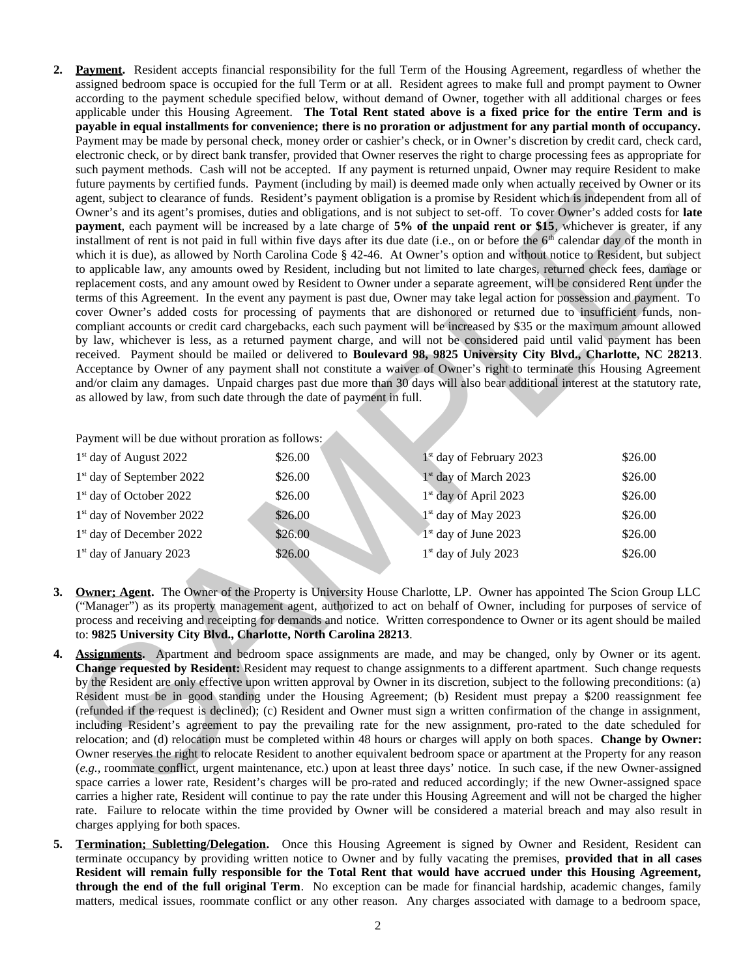**2. Payment.** Resident accepts financial responsibility for the full Term of the Housing Agreement, regardless of whether the assigned bedroom space is occupied for the full Term or at all. Resident agrees to make full and prompt payment to Owner according to the payment schedule specified below, without demand of Owner, together with all additional charges or fees applicable under this Housing Agreement. **The Total Rent stated above is a fixed price for the entire Term and is payable in equal installments for convenience; there is no proration or adjustment for any partial month of occupancy.** Payment may be made by personal check, money order or cashier's check, or in Owner's discretion by credit card, check card, electronic check, or by direct bank transfer, provided that Owner reserves the right to charge processing fees as appropriate for such payment methods. Cash will not be accepted. If any payment is returned unpaid, Owner may require Resident to make future payments by certified funds. Payment (including by mail) is deemed made only when actually received by Owner or its agent, subject to clearance of funds. Resident's payment obligation is a promise by Resident which is independent from all of Owner's and its agent's promises, duties and obligations, and is not subject to set-off. To cover Owner's added costs for **late payment**, each payment will be increased by a late charge of **5% of the unpaid rent or \$15**, whichever is greater, if any installment of rent is not paid in full within five days after its due date (i.e., on or before the  $6<sup>th</sup>$  calendar day of the month in which it is due), as allowed by North Carolina Code § 42-46. At Owner's option and without notice to Resident, but subject to applicable law, any amounts owed by Resident, including but not limited to late charges, returned check fees, damage or replacement costs, and any amount owed by Resident to Owner under a separate agreement, will be considered Rent under the terms of this Agreement. In the event any payment is past due, Owner may take legal action for possession and payment. To cover Owner's added costs for processing of payments that are dishonored or returned due to insufficient funds, noncompliant accounts or credit card chargebacks, each such payment will be increased by \$35 or the maximum amount allowed by law, whichever is less, as a returned payment charge, and will not be considered paid until valid payment has been received. Payment should be mailed or delivered to **Boulevard 98, 9825 University City Blvd., Charlotte, NC 28213**. Acceptance by Owner of any payment shall not constitute a waiver of Owner's right to terminate this Housing Agreement and/or claim any damages. Unpaid charges past due more than 30 days will also bear additional interest at the statutory rate, as allowed by law, from such date through the date of payment in full. nume payment in the critical continent in the critical continent in the critical continent in the critical continent in the critical continent in the critical continent in the critical continent in the critical continent

Payment will be due without proration as follows:

| $1st$ day of August 2022              | \$26.00 | $1st$ day of February 2023        | \$26.00 |
|---------------------------------------|---------|-----------------------------------|---------|
| 1 <sup>st</sup> day of September 2022 | \$26.00 | $1st$ day of March 2023           | \$26.00 |
| 1 <sup>st</sup> day of October 2022   | \$26.00 | 1 <sup>st</sup> day of April 2023 | \$26.00 |
| 1 <sup>st</sup> day of November 2022  | \$26.00 | $1st$ day of May 2023             | \$26.00 |
| 1 <sup>st</sup> day of December 2022  | \$26.00 | $1st$ day of June 2023            | \$26.00 |
| $1st$ day of January 2023             | \$26.00 | $1st$ day of July 2023            | \$26.00 |

- **3. Owner; Agent.** The Owner of the Property is University House Charlotte, LP. Owner has appointed The Scion Group LLC ("Manager") as its property management agent, authorized to act on behalf of Owner, including for purposes of service of process and receiving and receipting for demands and notice. Written correspondence to Owner or its agent should be mailed to: **9825 University City Blvd., Charlotte, North Carolina 28213**.
- **4. Assignments.** Apartment and bedroom space assignments are made, and may be changed, only by Owner or its agent. **Change requested by Resident:** Resident may request to change assignments to a different apartment. Such change requests by the Resident are only effective upon written approval by Owner in its discretion, subject to the following preconditions: (a) Resident must be in good standing under the Housing Agreement; (b) Resident must prepay a \$200 reassignment fee (refunded if the request is declined); (c) Resident and Owner must sign a written confirmation of the change in assignment, including Resident's agreement to pay the prevailing rate for the new assignment, pro-rated to the date scheduled for relocation; and (d) relocation must be completed within 48 hours or charges will apply on both spaces. **Change by Owner:** Owner reserves the right to relocate Resident to another equivalent bedroom space or apartment at the Property for any reason (*e.g.,* roommate conflict, urgent maintenance, etc.) upon at least three days' notice. In such case, if the new Owner-assigned space carries a lower rate, Resident's charges will be pro-rated and reduced accordingly; if the new Owner-assigned space carries a higher rate, Resident will continue to pay the rate under this Housing Agreement and will not be charged the higher rate. Failure to relocate within the time provided by Owner will be considered a material breach and may also result in charges applying for both spaces.
- **5. Termination; Subletting/Delegation.** Once this Housing Agreement is signed by Owner and Resident, Resident can terminate occupancy by providing written notice to Owner and by fully vacating the premises, **provided that in all cases Resident will remain fully responsible for the Total Rent that would have accrued under this Housing Agreement, through the end of the full original Term**. No exception can be made for financial hardship, academic changes, family matters, medical issues, roommate conflict or any other reason. Any charges associated with damage to a bedroom space,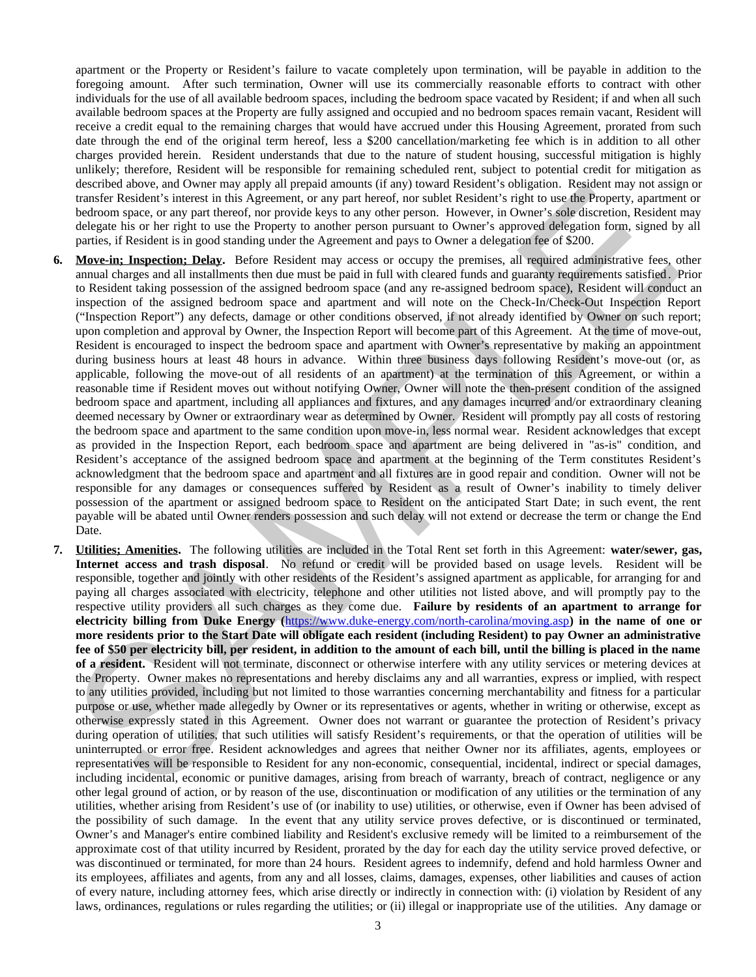apartment or the Property or Resident's failure to vacate completely upon termination, will be payable in addition to the foregoing amount. After such termination, Owner will use its commercially reasonable efforts to contract with other individuals for the use of all available bedroom spaces, including the bedroom space vacated by Resident; if and when all such available bedroom spaces at the Property are fully assigned and occupied and no bedroom spaces remain vacant, Resident will receive a credit equal to the remaining charges that would have accrued under this Housing Agreement, prorated from such date through the end of the original term hereof, less a \$200 cancellation/marketing fee which is in addition to all other charges provided herein. Resident understands that due to the nature of student housing, successful mitigation is highly unlikely; therefore, Resident will be responsible for remaining scheduled rent, subject to potential credit for mitigation as described above, and Owner may apply all prepaid amounts (if any) toward Resident's obligation. Resident may not assign or transfer Resident's interest in this Agreement, or any part hereof, nor sublet Resident's right to use the Property, apartment or bedroom space, or any part thereof, nor provide keys to any other person. However, in Owner's sole discretion, Resident may delegate his or her right to use the Property to another person pursuant to Owner's approved delegation form, signed by all parties, if Resident is in good standing under the Agreement and pays to Owner a delegation fee of \$200.

- **6. Move-in; Inspection; Delay.** Before Resident may access or occupy the premises, all required administrative fees, other annual charges and all installments then due must be paid in full with cleared funds and guaranty requirements satisfied . Prior to Resident taking possession of the assigned bedroom space (and any re-assigned bedroom space), Resident will conduct an inspection of the assigned bedroom space and apartment and will note on the Check-In/Check-Out Inspection Report ("Inspection Report") any defects, damage or other conditions observed, if not already identified by Owner on such report; upon completion and approval by Owner, the Inspection Report will become part of this Agreement. At the time of move-out, Resident is encouraged to inspect the bedroom space and apartment with Owner's representative by making an appointment during business hours at least 48 hours in advance. Within three business days following Resident's move-out (or, as applicable, following the move-out of all residents of an apartment) at the termination of this Agreement, or within a reasonable time if Resident moves out without notifying Owner, Owner will note the then-present condition of the assigned bedroom space and apartment, including all appliances and fixtures, and any damages incurred and/or extraordinary cleaning deemed necessary by Owner or extraordinary wear as determined by Owner. Resident will promptly pay all costs of restoring the bedroom space and apartment to the same condition upon move-in, less normal wear. Resident acknowledges that except as provided in the Inspection Report, each bedroom space and apartment are being delivered in "as-is" condition, and Resident's acceptance of the assigned bedroom space and apartment at the beginning of the Term constitutes Resident's acknowledgment that the bedroom space and apartment and all fixtures are in good repair and condition. Owner will not be responsible for any damages or consequences suffered by Resident as a result of Owner's inability to timely deliver possession of the apartment or assigned bedroom space to Resident on the anticipated Start Date; in such event, the rent payable will be abated until Owner renders possession and such delay will not extend or decrease the term or change the End Date. decrebed move, and bower may apply all preparations of any lower Resident's containing the most decrease of a state of a state of a state of a state of a state of a state of a state of a state of a state of a state of a s
- **7. Utilities; Amenities.** The following utilities are included in the Total Rent set forth in this Agreement: **water/sewer, gas, Internet access and trash disposal**. No refund or credit will be provided based on usage levels. Resident will be responsible, together and jointly with other residents of the Resident's assigned apartment as applicable, for arranging for and paying all charges associated with electricity, telephone and other utilities not listed above, and will promptly pay to the respective utility providers all such charges as they come due. **Failure by residents of an apartment to arrange for electricity billing from Duke Energy (**https://www.duke-energy.com/north-carolina/moving.asp**) in the name of one or more residents prior to the Start Date will obligate each resident (including Resident) to pay Owner an administrative fee of \$50 per electricity bill, per resident, in addition to the amount of each bill, until the billing is placed in the name of a resident.** Resident will not terminate, disconnect or otherwise interfere with any utility services or metering devices at the Property. Owner makes no representations and hereby disclaims any and all warranties, express or implied, with respect to any utilities provided, including but not limited to those warranties concerning merchantability and fitness for a particular purpose or use, whether made allegedly by Owner or its representatives or agents, whether in writing or otherwise, except as otherwise expressly stated in this Agreement. Owner does not warrant or guarantee the protection of Resident's privacy during operation of utilities, that such utilities will satisfy Resident's requirements, or that the operation of utilities will be uninterrupted or error free. Resident acknowledges and agrees that neither Owner nor its affiliates, agents, employees or representatives will be responsible to Resident for any non-economic, consequential, incidental, indirect or special damages, including incidental, economic or punitive damages, arising from breach of warranty, breach of contract, negligence or any other legal ground of action, or by reason of the use, discontinuation or modification of any utilities or the termination of any utilities, whether arising from Resident's use of (or inability to use) utilities, or otherwise, even if Owner has been advised of the possibility of such damage. In the event that any utility service proves defective, or is discontinued or terminated, Owner's and Manager's entire combined liability and Resident's exclusive remedy will be limited to a reimbursement of the approximate cost of that utility incurred by Resident, prorated by the day for each day the utility service proved defective, or was discontinued or terminated, for more than 24 hours. Resident agrees to indemnify, defend and hold harmless Owner and its employees, affiliates and agents, from any and all losses, claims, damages, expenses, other liabilities and causes of action of every nature, including attorney fees, which arise directly or indirectly in connection with: (i) violation by Resident of any laws, ordinances, regulations or rules regarding the utilities; or (ii) illegal or inappropriate use of the utilities. Any damage or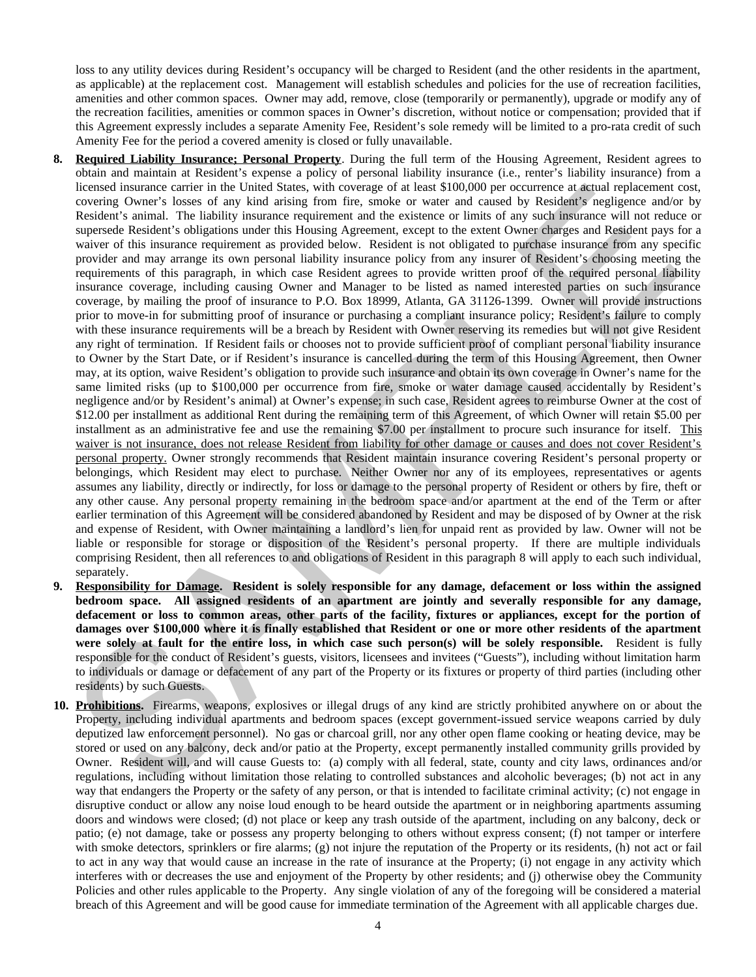loss to any utility devices during Resident's occupancy will be charged to Resident (and the other residents in the apartment, as applicable) at the replacement cost. Management will establish schedules and policies for the use of recreation facilities, amenities and other common spaces. Owner may add, remove, close (temporarily or permanently), upgrade or modify any of the recreation facilities, amenities or common spaces in Owner's discretion, without notice or compensation; provided that if this Agreement expressly includes a separate Amenity Fee, Resident's sole remedy will be limited to a pro-rata credit of such Amenity Fee for the period a covered amenity is closed or fully unavailable.

- **8. Required Liability Insurance; Personal Property**. During the full term of the Housing Agreement, Resident agrees to obtain and maintain at Resident's expense a policy of personal liability insurance (i.e., renter's liability insurance) from a licensed insurance carrier in the United States, with coverage of at least \$100,000 per occurrence at actual replacement cost, covering Owner's losses of any kind arising from fire, smoke or water and caused by Resident's negligence and/or by Resident's animal. The liability insurance requirement and the existence or limits of any such insurance will not reduce or supersede Resident's obligations under this Housing Agreement, except to the extent Owner charges and Resident pays for a waiver of this insurance requirement as provided below. Resident is not obligated to purchase insurance from any specific provider and may arrange its own personal liability insurance policy from any insurer of Resident's choosing meeting the requirements of this paragraph, in which case Resident agrees to provide written proof of the required personal liability insurance coverage, including causing Owner and Manager to be listed as named interested parties on such insurance coverage, by mailing the proof of insurance to P.O. Box 18999, Atlanta, GA 31126-1399. Owner will provide instructions prior to move-in for submitting proof of insurance or purchasing a compliant insurance policy; Resident's failure to comply with these insurance requirements will be a breach by Resident with Owner reserving its remedies but will not give Resident any right of termination. If Resident fails or chooses not to provide sufficient proof of compliant personal liability insurance to Owner by the Start Date, or if Resident's insurance is cancelled during the term of this Housing Agreement, then Owner may, at its option, waive Resident's obligation to provide such insurance and obtain its own coverage in Owner's name for the same limited risks (up to \$100,000 per occurrence from fire, smoke or water damage caused accidentally by Resident's negligence and/or by Resident's animal) at Owner's expense; in such case, Resident agrees to reimburse Owner at the cost of \$12.00 per installment as additional Rent during the remaining term of this Agreement, of which Owner will retain \$5.00 per installment as an administrative fee and use the remaining \$7.00 per installment to procure such insurance for itself. This waiver is not insurance, does not release Resident from liability for other damage or causes and does not cover Resident's personal property. Owner strongly recommends that Resident maintain insurance covering Resident's personal property or belongings, which Resident may elect to purchase. Neither Owner nor any of its employees, representatives or agents assumes any liability, directly or indirectly, for loss or damage to the personal property of Resident or others by fire, theft or any other cause. Any personal property remaining in the bedroom space and/or apartment at the end of the Term or after earlier termination of this Agreement will be considered abandoned by Resident and may be disposed of by Owner at the risk and expense of Resident, with Owner maintaining a landlord's lien for unpaid rent as provided by law. Owner will not be liable or responsible for storage or disposition of the Resident's personal property. If there are multiple individuals comprising Resident, then all references to and obligations of Resident in this paragraph 8 will apply to each such individual, separately. licensed insurance carrier in the United States. With coverage of a least 3100.000 per coverage and replacement a state of the United States of the United States of the United States of the United States of the United Sta
- **9. Responsibility for Damage. Resident is solely responsible for any damage, defacement or loss within the assigned bedroom space. All assigned residents of an apartment are jointly and severally responsible for any damage, defacement or loss to common areas, other parts of the facility, fixtures or appliances, except for the portion of damages over \$100,000 where it is finally established that Resident or one or more other residents of the apartment were solely at fault for the entire loss, in which case such person(s) will be solely responsible.** Resident is fully responsible for the conduct of Resident's guests, visitors, licensees and invitees ("Guests"), including without limitation harm to individuals or damage or defacement of any part of the Property or its fixtures or property of third parties (including other residents) by such Guests.
- **10. Prohibitions.** Firearms, weapons, explosives or illegal drugs of any kind are strictly prohibited anywhere on or about the Property, including individual apartments and bedroom spaces (except government-issued service weapons carried by duly deputized law enforcement personnel). No gas or charcoal grill, nor any other open flame cooking or heating device, may be stored or used on any balcony, deck and/or patio at the Property, except permanently installed community grills provided by Owner. Resident will, and will cause Guests to: (a) comply with all federal, state, county and city laws, ordinances and/or regulations, including without limitation those relating to controlled substances and alcoholic beverages; (b) not act in any way that endangers the Property or the safety of any person, or that is intended to facilitate criminal activity; (c) not engage in disruptive conduct or allow any noise loud enough to be heard outside the apartment or in neighboring apartments assuming doors and windows were closed; (d) not place or keep any trash outside of the apartment, including on any balcony, deck or patio; (e) not damage, take or possess any property belonging to others without express consent; (f) not tamper or interfere with smoke detectors, sprinklers or fire alarms; (g) not injure the reputation of the Property or its residents, (h) not act or fail to act in any way that would cause an increase in the rate of insurance at the Property; (i) not engage in any activity which interferes with or decreases the use and enjoyment of the Property by other residents; and (j) otherwise obey the Community Policies and other rules applicable to the Property. Any single violation of any of the foregoing will be considered a material breach of this Agreement and will be good cause for immediate termination of the Agreement with all applicable charges due.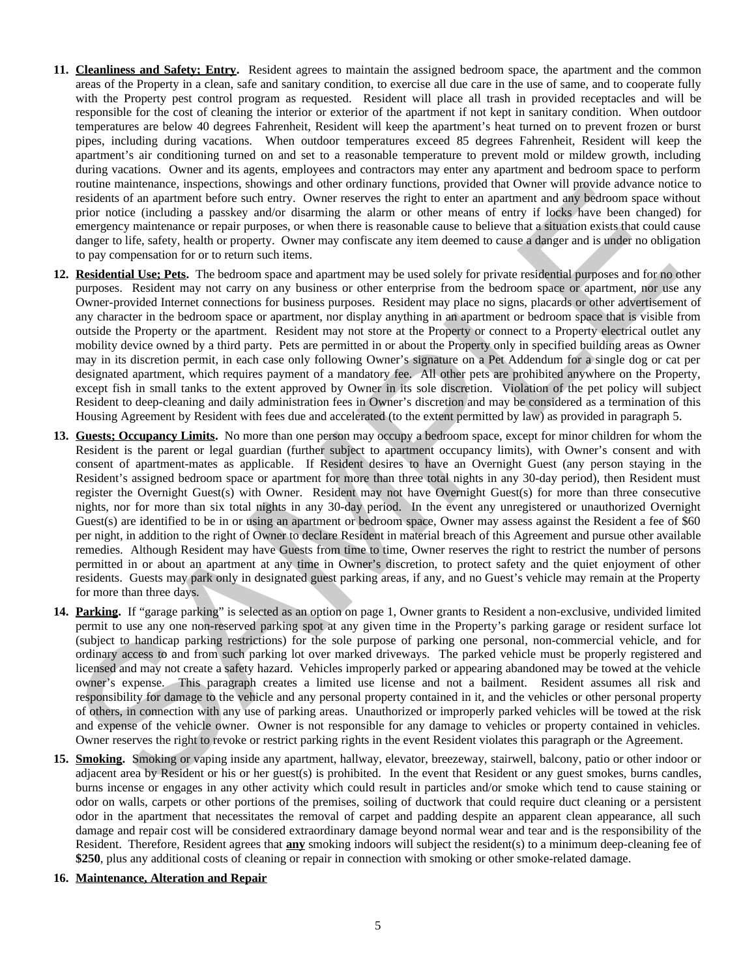- **11. Cleanliness and Safety; Entry.** Resident agrees to maintain the assigned bedroom space, the apartment and the common areas of the Property in a clean, safe and sanitary condition, to exercise all due care in the use of same, and to cooperate fully with the Property pest control program as requested. Resident will place all trash in provided receptacles and will be responsible for the cost of cleaning the interior or exterior of the apartment if not kept in sanitary condition. When outdoor temperatures are below 40 degrees Fahrenheit, Resident will keep the apartment's heat turned on to prevent frozen or burst pipes, including during vacations. When outdoor temperatures exceed 85 degrees Fahrenheit, Resident will keep the apartment's air conditioning turned on and set to a reasonable temperature to prevent mold or mildew growth, including during vacations. Owner and its agents, employees and contractors may enter any apartment and bedroom space to perform routine maintenance, inspections, showings and other ordinary functions, provided that Owner will provide advance notice to residents of an apartment before such entry. Owner reserves the right to enter an apartment and any bedroom space without prior notice (including a passkey and/or disarming the alarm or other means of entry if locks have been changed) for emergency maintenance or repair purposes, or when there is reasonable cause to believe that a situation exists that could cause danger to life, safety, health or property. Owner may confiscate any item deemed to cause a danger and is under no obligation to pay compensation for or to return such items.
- **12. Residential Use; Pets.** The bedroom space and apartment may be used solely for private residential purposes and for no other purposes. Resident may not carry on any business or other enterprise from the bedroom space or apartment, nor use any Owner-provided Internet connections for business purposes. Resident may place no signs, placards or other advertisement of any character in the bedroom space or apartment, nor display anything in an apartment or bedroom space that is visible from outside the Property or the apartment. Resident may not store at the Property or connect to a Property electrical outlet any mobility device owned by a third party. Pets are permitted in or about the Property only in specified building areas as Owner may in its discretion permit, in each case only following Owner's signature on a Pet Addendum for a single dog or cat per designated apartment, which requires payment of a mandatory fee. All other pets are prohibited anywhere on the Property, except fish in small tanks to the extent approved by Owner in its sole discretion. Violation of the pet policy will subject Resident to deep-cleaning and daily administration fees in Owner's discretion and may be considered as a termination of this Housing Agreement by Resident with fees due and accelerated (to the extent permitted by law) as provided in paragraph 5.
- **13. Guests; Occupancy Limits.** No more than one person may occupy a bedroom space, except for minor children for whom the Resident is the parent or legal guardian (further subject to apartment occupancy limits), with Owner's consent and with consent of apartment-mates as applicable. If Resident desires to have an Overnight Guest (any person staying in the Resident's assigned bedroom space or apartment for more than three total nights in any 30-day period), then Resident must register the Overnight Guest(s) with Owner. Resident may not have Overnight Guest(s) for more than three consecutive nights, nor for more than six total nights in any 30-day period. In the event any unregistered or unauthorized Overnight Guest(s) are identified to be in or using an apartment or bedroom space, Owner may assess against the Resident a fee of \$60 per night, in addition to the right of Owner to declare Resident in material breach of this Agreement and pursue other available remedies. Although Resident may have Guests from time to time, Owner reserves the right to restrict the number of persons permitted in or about an apartment at any time in Owner's discretion, to protect safety and the quiet enjoyment of other residents. Guests may park only in designated guest parking areas, if any, and no Guest's vehicle may remain at the Property for more than three days. rounds mantenance, mass<br>considerably another such that y towar research and the order of many the<br>considerably and the considerably and the considerably and the search and<br>consider the such the such and the such another s
- **14. Parking.** If "garage parking" is selected as an option on page 1, Owner grants to Resident a non-exclusive, undivided limited permit to use any one non-reserved parking spot at any given time in the Property's parking garage or resident surface lot (subject to handicap parking restrictions) for the sole purpose of parking one personal, non-commercial vehicle, and for ordinary access to and from such parking lot over marked driveways. The parked vehicle must be properly registered and licensed and may not create a safety hazard. Vehicles improperly parked or appearing abandoned may be towed at the vehicle owner's expense. This paragraph creates a limited use license and not a bailment. Resident assumes all risk and responsibility for damage to the vehicle and any personal property contained in it, and the vehicles or other personal property of others, in connection with any use of parking areas. Unauthorized or improperly parked vehicles will be towed at the risk and expense of the vehicle owner. Owner is not responsible for any damage to vehicles or property contained in vehicles. Owner reserves the right to revoke or restrict parking rights in the event Resident violates this paragraph or the Agreement.
- **15. Smoking.** Smoking or vaping inside any apartment, hallway, elevator, breezeway, stairwell, balcony, patio or other indoor or adjacent area by Resident or his or her guest(s) is prohibited. In the event that Resident or any guest smokes, burns candles, burns incense or engages in any other activity which could result in particles and/or smoke which tend to cause staining or odor on walls, carpets or other portions of the premises, soiling of ductwork that could require duct cleaning or a persistent odor in the apartment that necessitates the removal of carpet and padding despite an apparent clean appearance, all such damage and repair cost will be considered extraordinary damage beyond normal wear and tear and is the responsibility of the Resident. Therefore, Resident agrees that **any** smoking indoors will subject the resident(s) to a minimum deep-cleaning fee of **\$250**, plus any additional costs of cleaning or repair in connection with smoking or other smoke-related damage.
- **16. Maintenance, Alteration and Repair**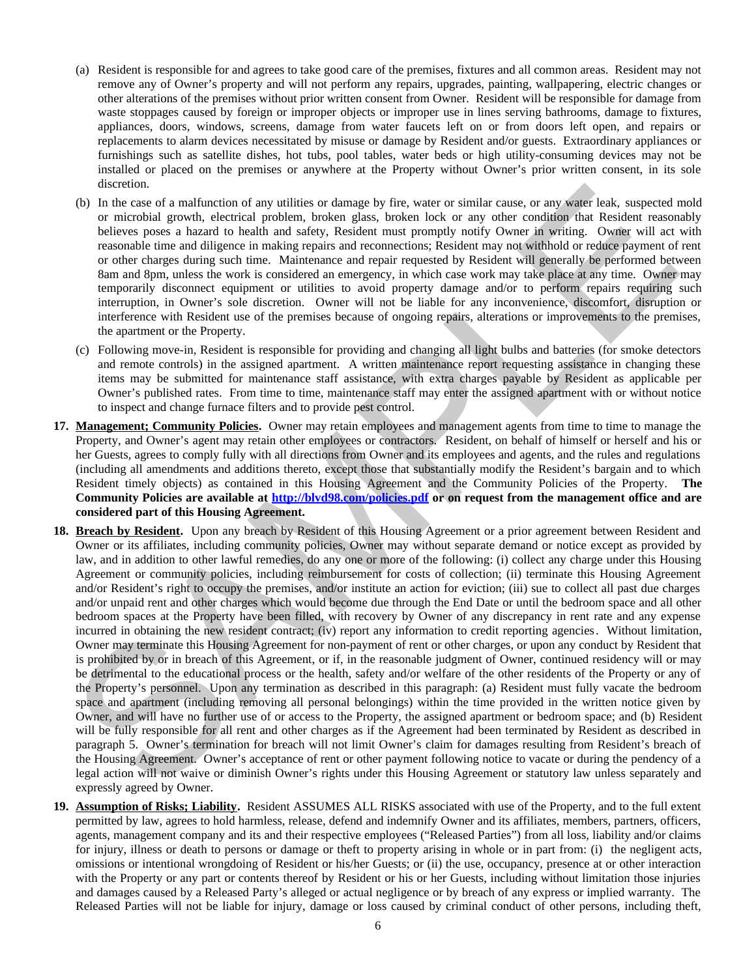- (a) Resident is responsible for and agrees to take good care of the premises, fixtures and all common areas. Resident may not remove any of Owner's property and will not perform any repairs, upgrades, painting, wallpapering, electric changes or other alterations of the premises without prior written consent from Owner. Resident will be responsible for damage from waste stoppages caused by foreign or improper objects or improper use in lines serving bathrooms, damage to fixtures, appliances, doors, windows, screens, damage from water faucets left on or from doors left open, and repairs or replacements to alarm devices necessitated by misuse or damage by Resident and/or guests. Extraordinary appliances or furnishings such as satellite dishes, hot tubs, pool tables, water beds or high utility-consuming devices may not be installed or placed on the premises or anywhere at the Property without Owner's prior written consent, in its sole discretion.
- (b) In the case of a malfunction of any utilities or damage by fire, water or similar cause, or any water leak, suspected mold or microbial growth, electrical problem, broken glass, broken lock or any other condition that Resident reasonably believes poses a hazard to health and safety, Resident must promptly notify Owner in writing. Owner will act with reasonable time and diligence in making repairs and reconnections; Resident may not withhold or reduce payment of rent or other charges during such time. Maintenance and repair requested by Resident will generally be performed between 8am and 8pm, unless the work is considered an emergency, in which case work may take place at any time. Owner may temporarily disconnect equipment or utilities to avoid property damage and/or to perform repairs requiring such interruption, in Owner's sole discretion. Owner will not be liable for any inconvenience, discomfort, disruption or interference with Resident use of the premises because of ongoing repairs, alterations or improvements to the premises, the apartment or the Property.
- (c) Following move-in, Resident is responsible for providing and changing all light bulbs and batteries (for smoke detectors and remote controls) in the assigned apartment. A written maintenance report requesting assistance in changing these items may be submitted for maintenance staff assistance, with extra charges payable by Resident as applicable per Owner's published rates. From time to time, maintenance staff may enter the assigned apartment with or without notice to inspect and change furnace filters and to provide pest control.
- **17. Management; Community Policies.** Owner may retain employees and management agents from time to time to manage the Property, and Owner's agent may retain other employees or contractors. Resident, on behalf of himself or herself and his or her Guests, agrees to comply fully with all directions from Owner and its employees and agents, and the rules and regulations (including all amendments and additions thereto, except those that substantially modify the Resident's bargain and to which Resident timely objects) as contained in this Housing Agreement and the Community Policies of the Property. **The Community Policies are available at http://blvd98.com/policies.pdf or on request from the management office and are considered part of this Housing Agreement.**
- **18. Breach by Resident.** Upon any breach by Resident of this Housing Agreement or a prior agreement between Resident and Owner or its affiliates, including community policies, Owner may without separate demand or notice except as provided by law, and in addition to other lawful remedies, do any one or more of the following: (i) collect any charge under this Housing Agreement or community policies, including reimbursement for costs of collection; (ii) terminate this Housing Agreement and/or Resident's right to occupy the premises, and/or institute an action for eviction; (iii) sue to collect all past due charges and/or unpaid rent and other charges which would become due through the End Date or until the bedroom space and all other bedroom spaces at the Property have been filled, with recovery by Owner of any discrepancy in rent rate and any expense incurred in obtaining the new resident contract; (iv) report any information to credit reporting agencies. Without limitation, Owner may terminate this Housing Agreement for non-payment of rent or other charges, or upon any conduct by Resident that is prohibited by or in breach of this Agreement, or if, in the reasonable judgment of Owner, continued residency will or may be detrimental to the educational process or the health, safety and/or welfare of the other residents of the Property or any of the Property's personnel. Upon any termination as described in this paragraph: (a) Resident must fully vacate the bedroom space and apartment (including removing all personal belongings) within the time provided in the written notice given by Owner, and will have no further use of or access to the Property, the assigned apartment or bedroom space; and (b) Resident will be fully responsible for all rent and other charges as if the Agreement had been terminated by Resident as described in paragraph 5. Owner's termination for breach will not limit Owner's claim for damages resulting from Resident's breach of the Housing Agreement. Owner's acceptance of rent or other payment following notice to vacate or during the pendency of a legal action will not waive or diminish Owner's rights under this Housing Agreement or statutory law unless separately and expressly agreed by Owner. discretion.<br>In the case of a malfunction of any utilities or damage by fire, water or similar cases, or any sears leak, suspected<br>or microbal growth, cictation plots, because the best book or any other considers at Residen
- **19. Assumption of Risks; Liability.** Resident ASSUMES ALL RISKS associated with use of the Property, and to the full extent permitted by law, agrees to hold harmless, release, defend and indemnify Owner and its affiliates, members, partners, officers, agents, management company and its and their respective employees ("Released Parties") from all loss, liability and/or claims for injury, illness or death to persons or damage or theft to property arising in whole or in part from: (i) the negligent acts, omissions or intentional wrongdoing of Resident or his/her Guests; or (ii) the use, occupancy, presence at or other interaction with the Property or any part or contents thereof by Resident or his or her Guests, including without limitation those injuries and damages caused by a Released Party's alleged or actual negligence or by breach of any express or implied warranty. The Released Parties will not be liable for injury, damage or loss caused by criminal conduct of other persons, including theft,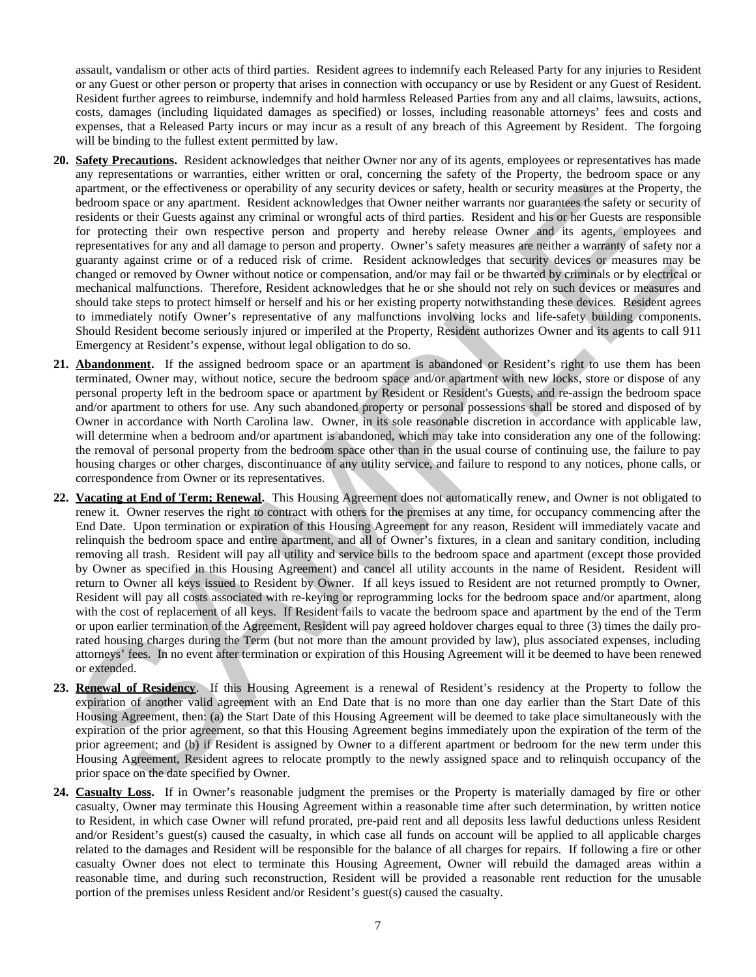assault, vandalism or other acts of third parties. Resident agrees to indemnify each Released Party for any injuries to Resident or any Guest or other person or property that arises in connection with occupancy or use by Resident or any Guest of Resident. Resident further agrees to reimburse, indemnify and hold harmless Released Parties from any and all claims, lawsuits, actions, costs, damages (including liquidated damages as specified) or losses, including reasonable attorneys' fees and costs and expenses, that a Released Party incurs or may incur as a result of any breach of this Agreement by Resident. The forgoing will be binding to the fullest extent permitted by law.

- **20. Safety Precautions.** Resident acknowledges that neither Owner nor any of its agents, employees or representatives has made any representations or warranties, either written or oral, concerning the safety of the Property, the bedroom space or any apartment, or the effectiveness or operability of any security devices or safety, health or security measures at the Property, the bedroom space or any apartment. Resident acknowledges that Owner neither warrants nor guarantees the safety or security of residents or their Guests against any criminal or wrongful acts of third parties. Resident and his or her Guests are responsible for protecting their own respective person and property and hereby release Owner and its agents, employees and representatives for any and all damage to person and property. Owner's safety measures are neither a warranty of safety nor a guaranty against crime or of a reduced risk of crime. Resident acknowledges that security devices or measures may be changed or removed by Owner without notice or compensation, and/or may fail or be thwarted by criminals or by electrical or mechanical malfunctions. Therefore, Resident acknowledges that he or she should not rely on such devices or measures and should take steps to protect himself or herself and his or her existing property notwithstanding these devices. Resident agrees to immediately notify Owner's representative of any malfunctions involving locks and life-safety building components. Should Resident become seriously injured or imperiled at the Property, Resident authorizes Owner and its agents to call 911 Emergency at Resident's expense, without legal obligation to do so.
- **21. Abandonment.** If the assigned bedroom space or an apartment is abandoned or Resident's right to use them has been terminated, Owner may, without notice, secure the bedroom space and/or apartment with new locks, store or dispose of any personal property left in the bedroom space or apartment by Resident or Resident's Guests, and re-assign the bedroom space and/or apartment to others for use. Any such abandoned property or personal possessions shall be stored and disposed of by Owner in accordance with North Carolina law. Owner, in its sole reasonable discretion in accordance with applicable law, will determine when a bedroom and/or apartment is abandoned, which may take into consideration any one of the following: the removal of personal property from the bedroom space other than in the usual course of continuing use, the failure to pay housing charges or other charges, discontinuance of any utility service, and failure to respond to any notices, phone calls, or correspondence from Owner or its representatives.
- **22. Vacating at End of Term; Renewal.** This Housing Agreement does not automatically renew, and Owner is not obligated to renew it. Owner reserves the right to contract with others for the premises at any time, for occupancy commencing after the End Date. Upon termination or expiration of this Housing Agreement for any reason, Resident will immediately vacate and relinquish the bedroom space and entire apartment, and all of Owner's fixtures, in a clean and sanitary condition, including removing all trash. Resident will pay all utility and service bills to the bedroom space and apartment (except those provided by Owner as specified in this Housing Agreement) and cancel all utility accounts in the name of Resident. Resident will return to Owner all keys issued to Resident by Owner. If all keys issued to Resident are not returned promptly to Owner, Resident will pay all costs associated with re-keying or reprogramming locks for the bedroom space and/or apartment, along with the cost of replacement of all keys. If Resident fails to vacate the bedroom space and apartment by the end of the Term or upon earlier termination of the Agreement, Resident will pay agreed holdover charges equal to three (3) times the daily prorated housing charges during the Term (but not more than the amount provided by law), plus associated expenses, including attorneys' fees. In no event after termination or expiration of this Housing Agreement will it be deemed to have been renewed or extended. aparment, or the effectiveness or operability of any security devices as a step; beinfo as earling and the effectiveness of a single and the effectiveness of a single and the effectiveness of the constrained and the effect
- **23. Renewal of Residency**. If this Housing Agreement is a renewal of Resident's residency at the Property to follow the expiration of another valid agreement with an End Date that is no more than one day earlier than the Start Date of this Housing Agreement, then: (a) the Start Date of this Housing Agreement will be deemed to take place simultaneously with the expiration of the prior agreement, so that this Housing Agreement begins immediately upon the expiration of the term of the prior agreement; and (b) if Resident is assigned by Owner to a different apartment or bedroom for the new term under this Housing Agreement, Resident agrees to relocate promptly to the newly assigned space and to relinquish occupancy of the prior space on the date specified by Owner.
- **24. Casualty Loss.** If in Owner's reasonable judgment the premises or the Property is materially damaged by fire or other casualty, Owner may terminate this Housing Agreement within a reasonable time after such determination, by written notice to Resident, in which case Owner will refund prorated, pre-paid rent and all deposits less lawful deductions unless Resident and/or Resident's guest(s) caused the casualty, in which case all funds on account will be applied to all applicable charges related to the damages and Resident will be responsible for the balance of all charges for repairs. If following a fire or other casualty Owner does not elect to terminate this Housing Agreement, Owner will rebuild the damaged areas within a reasonable time, and during such reconstruction, Resident will be provided a reasonable rent reduction for the unusable portion of the premises unless Resident and/or Resident's guest(s) caused the casualty.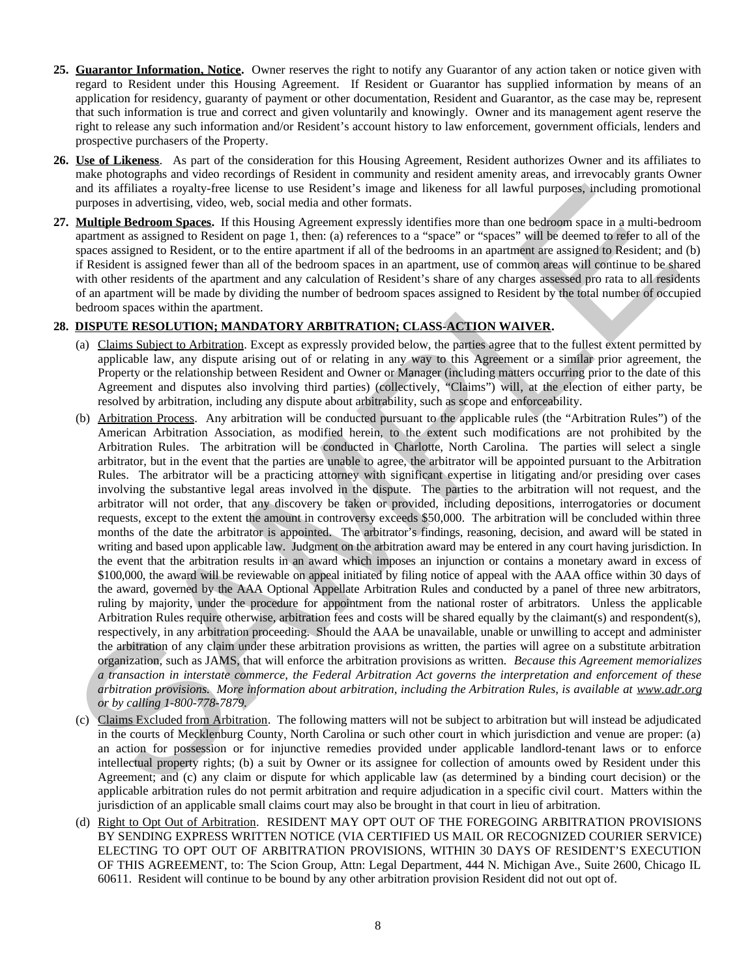- **25. Guarantor Information, Notice.** Owner reserves the right to notify any Guarantor of any action taken or notice given with regard to Resident under this Housing Agreement. If Resident or Guarantor has supplied information by means of an application for residency, guaranty of payment or other documentation, Resident and Guarantor, as the case may be, represent that such information is true and correct and given voluntarily and knowingly. Owner and its management agent reserve the right to release any such information and/or Resident's account history to law enforcement, government officials, lenders and prospective purchasers of the Property.
- **26. Use of Likeness**. As part of the consideration for this Housing Agreement, Resident authorizes Owner and its affiliates to make photographs and video recordings of Resident in community and resident amenity areas, and irrevocably grants Owner and its affiliates a royalty-free license to use Resident's image and likeness for all lawful purposes, including promotional purposes in advertising, video, web, social media and other formats.
- **27. Multiple Bedroom Spaces.** If this Housing Agreement expressly identifies more than one bedroom space in a multi-bedroom apartment as assigned to Resident on page 1, then: (a) references to a "space" or "spaces" will be deemed to refer to all of the spaces assigned to Resident, or to the entire apartment if all of the bedrooms in an apartment are assigned to Resident; and (b) if Resident is assigned fewer than all of the bedroom spaces in an apartment, use of common areas will continue to be shared with other residents of the apartment and any calculation of Resident's share of any charges assessed pro rata to all residents of an apartment will be made by dividing the number of bedroom spaces assigned to Resident by the total number of occupied bedroom spaces within the apartment.

### **28. DISPUTE RESOLUTION; MANDATORY ARBITRATION; CLASS-ACTION WAIVER.**

- (a) Claims Subject to Arbitration. Except as expressly provided below, the parties agree that to the fullest extent permitted by applicable law, any dispute arising out of or relating in any way to this Agreement or a similar prior agreement, the Property or the relationship between Resident and Owner or Manager (including matters occurring prior to the date of this Agreement and disputes also involving third parties) (collectively, "Claims") will, at the election of either party, be resolved by arbitration, including any dispute about arbitrability, such as scope and enforceability.
- (b) Arbitration Process. Any arbitration will be conducted pursuant to the applicable rules (the "Arbitration Rules") of the American Arbitration Association, as modified herein, to the extent such modifications are not prohibited by the Arbitration Rules. The arbitration will be conducted in Charlotte, North Carolina. The parties will select a single arbitrator, but in the event that the parties are unable to agree, the arbitrator will be appointed pursuant to the Arbitration Rules. The arbitrator will be a practicing attorney with significant expertise in litigating and/or presiding over cases involving the substantive legal areas involved in the dispute. The parties to the arbitration will not request, and the arbitrator will not order, that any discovery be taken or provided, including depositions, interrogatories or document requests, except to the extent the amount in controversy exceeds \$50,000. The arbitration will be concluded within three months of the date the arbitrator is appointed. The arbitrator's findings, reasoning, decision, and award will be stated in writing and based upon applicable law. Judgment on the arbitration award may be entered in any court having jurisdiction. In the event that the arbitration results in an award which imposes an injunction or contains a monetary award in excess of \$100,000, the award will be reviewable on appeal initiated by filing notice of appeal with the AAA office within 30 days of the award, governed by the AAA Optional Appellate Arbitration Rules and conducted by a panel of three new arbitrators, ruling by majority, under the procedure for appointment from the national roster of arbitrators. Unless the applicable Arbitration Rules require otherwise, arbitration fees and costs will be shared equally by the claimant(s) and respondent(s), respectively, in any arbitration proceeding. Should the AAA be unavailable, unable or unwilling to accept and administer the arbitration of any claim under these arbitration provisions as written, the parties will agree on a substitute arbitration organization, such as JAMS, that will enforce the arbitration provisions as written. *Because this Agreement memorializes a transaction in interstate commerce, the Federal Arbitration Act governs the interpretation and enforcement of these arbitration provisions. More information about arbitration, including the Arbitration Rules, is available at www.adr.org or by calling 1-800-778-7879.* and its affiliates a regular space. This biseaks of all listens for all listens for all listens in chiral party and a structure party in the system in a multi-between the multi-between the multi-between the multi-between
- (c) Claims Excluded from Arbitration. The following matters will not be subject to arbitration but will instead be adjudicated in the courts of Mecklenburg County, North Carolina or such other court in which jurisdiction and venue are proper: (a) an action for possession or for injunctive remedies provided under applicable landlord-tenant laws or to enforce intellectual property rights; (b) a suit by Owner or its assignee for collection of amounts owed by Resident under this Agreement; and (c) any claim or dispute for which applicable law (as determined by a binding court decision) or the applicable arbitration rules do not permit arbitration and require adjudication in a specific civil court. Matters within the jurisdiction of an applicable small claims court may also be brought in that court in lieu of arbitration.
- (d) Right to Opt Out of Arbitration. RESIDENT MAY OPT OUT OF THE FOREGOING ARBITRATION PROVISIONS BY SENDING EXPRESS WRITTEN NOTICE (VIA CERTIFIED US MAIL OR RECOGNIZED COURIER SERVICE) ELECTING TO OPT OUT OF ARBITRATION PROVISIONS, WITHIN 30 DAYS OF RESIDENT'S EXECUTION OF THIS AGREEMENT, to: The Scion Group, Attn: Legal Department, 444 N. Michigan Ave., Suite 2600, Chicago IL 60611. Resident will continue to be bound by any other arbitration provision Resident did not out opt of.